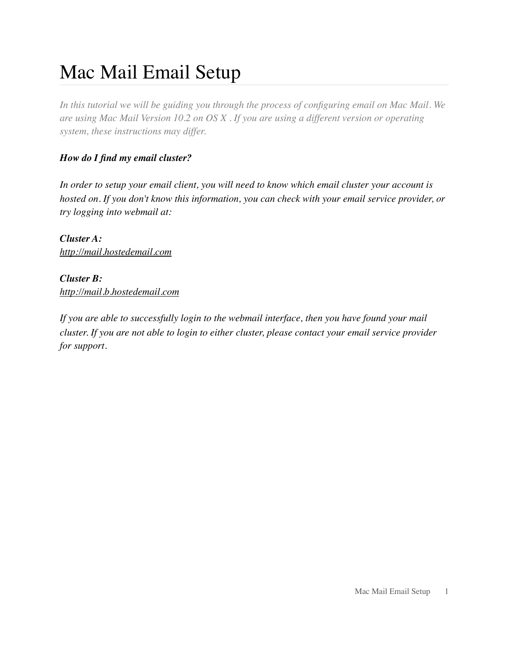# Mac Mail Email Setup

*In this tutorial we will be guiding you through the process of configuring email on Mac Mail. We are using Mac Mail Version 10.2 on OS X . If you are using a different version or operating system, these instructions may differ.* 

#### *How do I find my email cluster?*

*In order to setup your email client, you will need to know which email cluster your account is hosted on. If you don't know this information, you can check with your email service provider, or try logging into webmail at:*

*Cluster A: http://mail.hostedemail.com*

# *Cluster B:*

*http://mail.b.hostedemail.com*

*If you are able to successfully login to the webmail interface, then you have found your mail cluster. If you are not able to login to either cluster, please contact your email service provider for support.*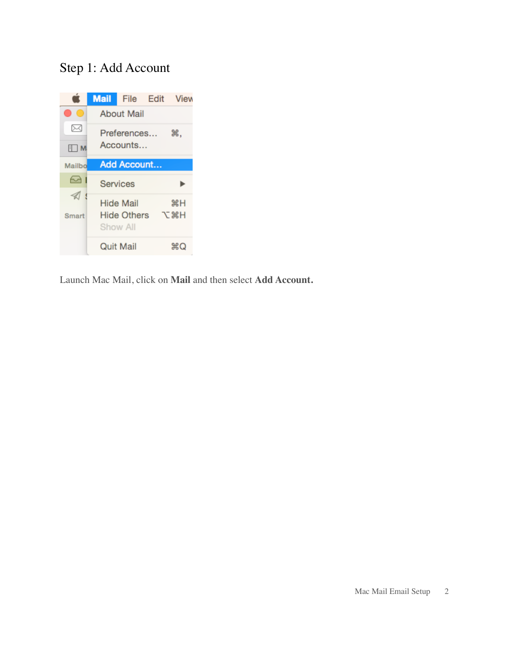### Step 1: Add Account



Launch Mac Mail, click on **Mail** and then select **Add Account.**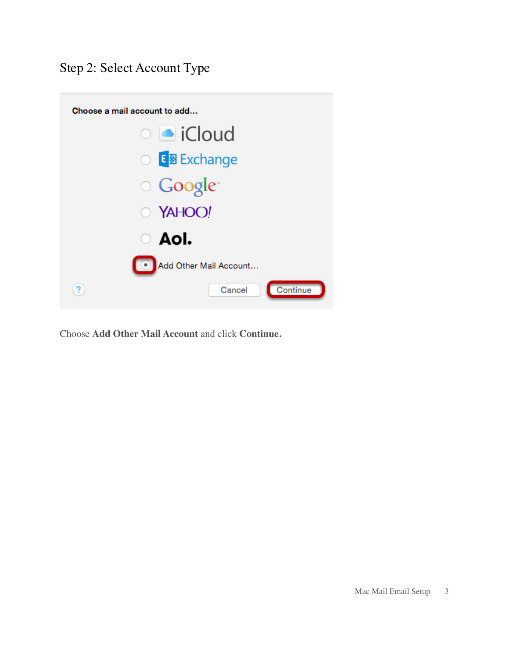### Step 2: Select Account Type



Choose **Add Other Mail Account** and click **Continue.**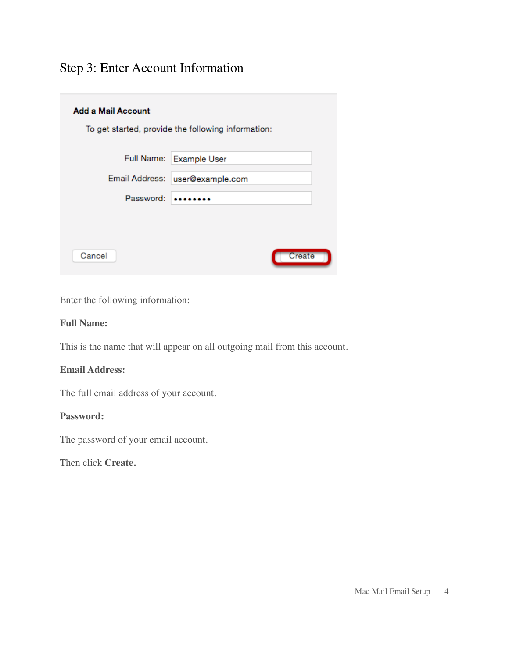### Step 3: Enter Account Information

| <b>Add a Mail Account</b> |                                                    |
|---------------------------|----------------------------------------------------|
|                           | To get started, provide the following information: |
|                           |                                                    |
|                           | Full Name: Example User                            |
| Email Address:            | user@example.com                                   |
| Password:                 |                                                    |
|                           |                                                    |
|                           |                                                    |
| Cancel                    | Create                                             |

Enter the following information:

#### **Full Name:**

This is the name that will appear on all outgoing mail from this account.

#### **Email Address:**

The full email address of your account.

#### **Password:**

The password of your email account.

Then click **Create.**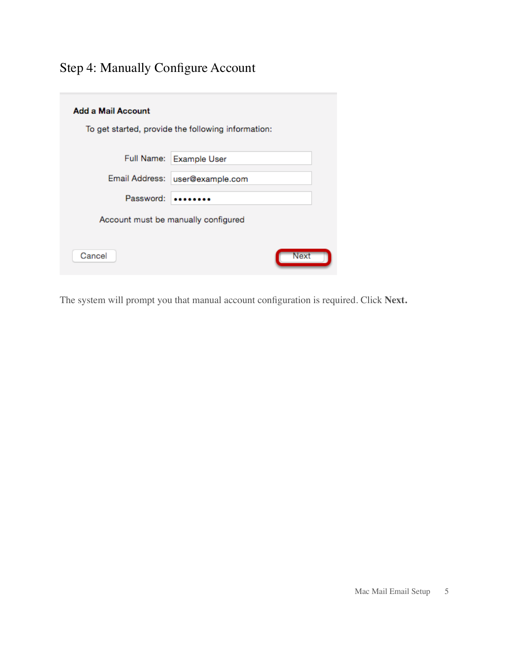# Step 4: Manually Configure Account

| Add a Mail Account                                 |                         |  |
|----------------------------------------------------|-------------------------|--|
| To get started, provide the following information: |                         |  |
|                                                    |                         |  |
|                                                    | Full Name: Example User |  |
| Email Address:                                     | user@example.com        |  |
| Password:                                          |                         |  |
| Account must be manually configured                |                         |  |
| Cancel                                             | Next                    |  |

The system will prompt you that manual account configuration is required. Click **Next.**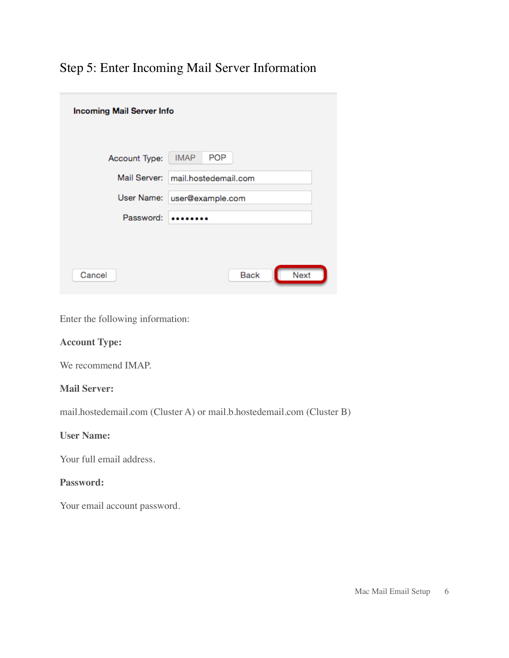## Step 5: Enter Incoming Mail Server Information

| <b>Incoming Mail Server Info</b> |                                   |
|----------------------------------|-----------------------------------|
| Account Type:                    | <b>POP</b><br><b>IMAP</b>         |
|                                  | Mail Server: mail.hostedemail.com |
| User Name:                       | user@example.com                  |
| Password:                        |                                   |
|                                  |                                   |
| Cancel                           | <b>Next</b><br><b>Back</b>        |

Enter the following information:

#### **Account Type:**

We recommend IMAP.

#### **Mail Server:**

mail.hostedemail.com (Cluster A) or mail.b.hostedemail.com (Cluster B)

#### **User Name:**

Your full email address.

#### **Password:**

Your email account password.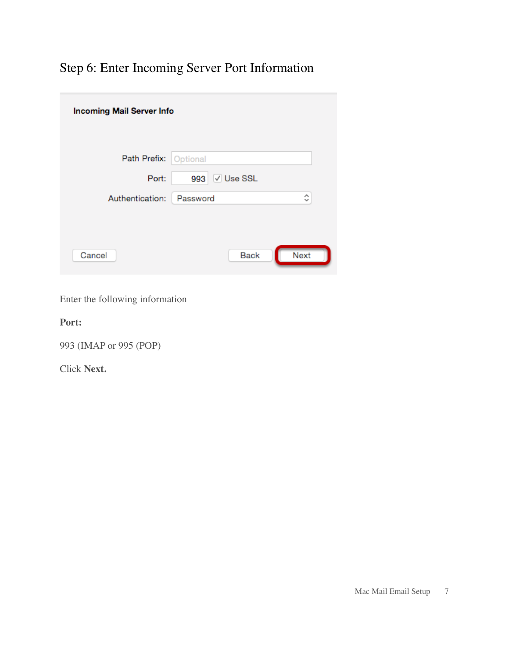# Step 6: Enter Incoming Server Port Information

| <b>Incoming Mail Server Info</b> |                               |  |
|----------------------------------|-------------------------------|--|
| Path Prefix: Optional            |                               |  |
| Port:                            | √ Use SSL<br>993              |  |
| Authentication:                  | Α<br>Password<br>$\checkmark$ |  |
| Cancel                           | <b>Next</b><br><b>Back</b>    |  |

Enter the following information

**Port:**

993 (IMAP or 995 (POP)

Click **Next.**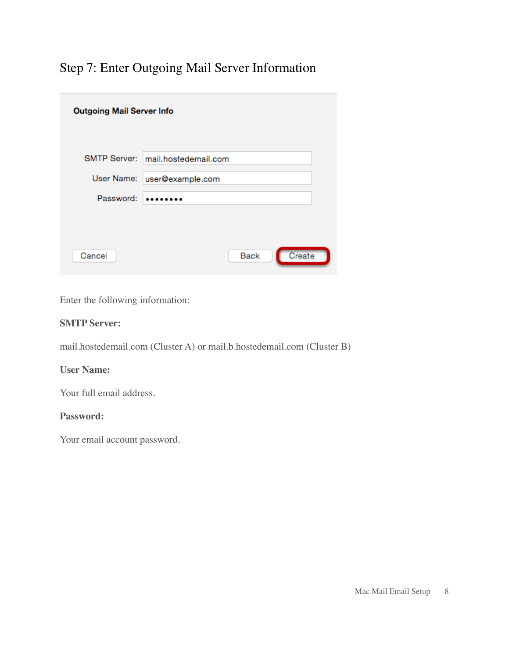# Step 7: Enter Outgoing Mail Server Information

| <b>Outgoing Mail Server Info</b> |                                   |
|----------------------------------|-----------------------------------|
|                                  | SMTP Server: mail.hostedemail.com |
|                                  | User Name: user@example.com       |
| Password:                        |                                   |
|                                  |                                   |
| Cancel                           | Create<br><b>Back</b>             |

Enter the following information:

#### **SMTP Server:**

mail.hostedemail.com (Cluster A) or mail.b.hostedemail.com (Cluster B)

#### **User Name:**

Your full email address.

#### **Password:**

Your email account password.